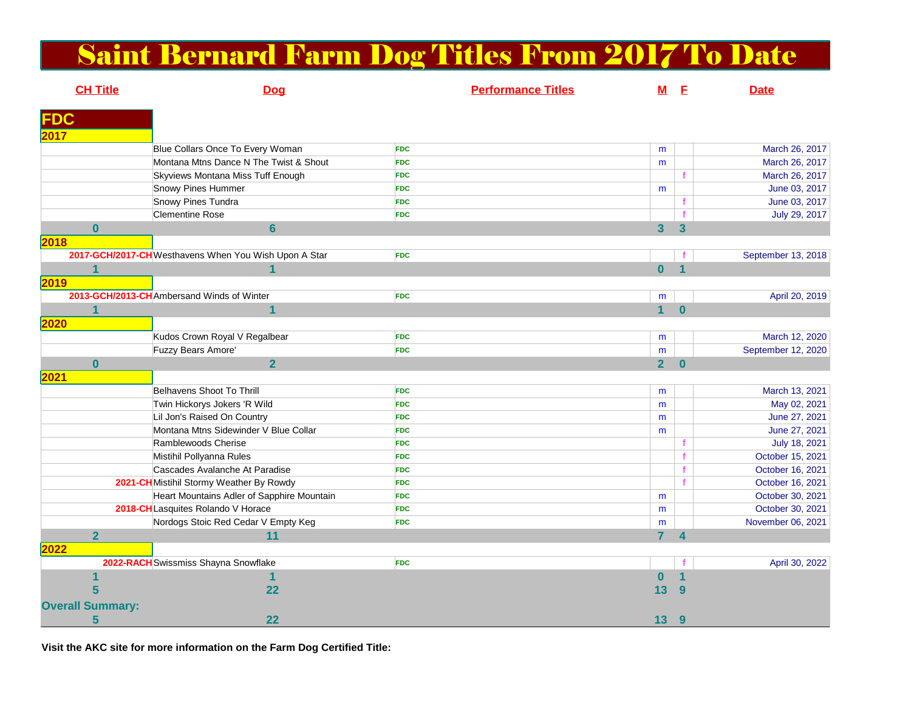## Saint Bernard Farm Dog Titles From 2017 To Date

| <b>CH Title</b>                                    | Dog                                                   | <b>Performance Titles</b> | $\underline{\mathbf{M}}$ | E                    | <b>Date</b>        |
|----------------------------------------------------|-------------------------------------------------------|---------------------------|--------------------------|----------------------|--------------------|
|                                                    |                                                       |                           |                          |                      |                    |
| <b>FDC</b>                                         |                                                       |                           |                          |                      |                    |
| 2017                                               |                                                       |                           |                          |                      |                    |
|                                                    | Blue Collars Once To Every Woman                      | <b>FDC</b>                | m                        |                      | March 26, 2017     |
|                                                    | Montana Mtns Dance N The Twist & Shout                | <b>FDC</b>                | m                        |                      | March 26, 2017     |
|                                                    | Skyviews Montana Miss Tuff Enough                     | <b>FDC</b>                |                          |                      | March 26, 2017     |
|                                                    | Snowy Pines Hummer                                    | <b>FDC</b>                | m                        |                      | June 03, 2017      |
|                                                    | Snowy Pines Tundra                                    | <b>FDC</b>                |                          |                      | June 03, 2017      |
|                                                    | <b>Clementine Rose</b>                                | <b>FDC</b>                |                          |                      | July 29, 2017      |
| $\mathbf{0}$                                       | $6\phantom{a}$                                        |                           | $\overline{\mathbf{3}}$  | $\overline{3}$       |                    |
| 2018                                               |                                                       |                           |                          |                      |                    |
|                                                    | 2017-GCH/2017-CH Westhavens When You Wish Upon A Star | <b>FDC</b>                |                          |                      | September 13, 2018 |
| $\mathbf{1}$                                       | 1                                                     |                           | $\mathbf{0}$             | $\blacktriangleleft$ |                    |
| 2019                                               |                                                       |                           |                          |                      |                    |
|                                                    | 2013-GCH/2013-CH Ambersand Winds of Winter            | <b>FDC</b>                | m                        |                      | April 20, 2019     |
| $\overline{\mathbf{1}}$                            | 1                                                     |                           | $\blacklozenge$          | $\Omega$             |                    |
| 2020                                               |                                                       |                           |                          |                      |                    |
|                                                    | Kudos Crown Royal V Regalbear                         | <b>FDC</b>                | m                        |                      | March 12, 2020     |
|                                                    | Fuzzy Bears Amore'                                    | <b>FDC</b>                | m                        |                      | September 12, 2020 |
| $\bf{0}$                                           | $\overline{2}$                                        |                           | 2 <sup>1</sup>           | $\mathbf{0}$         |                    |
| 2021                                               |                                                       |                           |                          |                      |                    |
|                                                    | Belhavens Shoot To Thrill                             | <b>FDC</b>                | m                        |                      | March 13, 2021     |
|                                                    | Twin Hickorys Jokers 'R Wild                          | <b>FDC</b>                | m                        |                      | May 02, 2021       |
|                                                    | Lil Jon's Raised On Country                           | <b>FDC</b>                | m                        |                      | June 27, 2021      |
|                                                    | Montana Mtns Sidewinder V Blue Collar                 | <b>FDC</b>                | m                        |                      | June 27, 2021      |
|                                                    | Ramblewoods Cherise                                   | <b>FDC</b>                |                          |                      | July 18, 2021      |
|                                                    | Mistihil Pollyanna Rules                              | <b>FDC</b>                |                          |                      | October 15, 2021   |
|                                                    | Cascades Avalanche At Paradise                        | <b>FDC</b>                |                          |                      | October 16, 2021   |
|                                                    | 2021-CH Mistihil Stormy Weather By Rowdy              | <b>FDC</b>                |                          |                      | October 16, 2021   |
|                                                    | Heart Mountains Adler of Sapphire Mountain            | <b>FDC</b>                | m                        |                      | October 30, 2021   |
|                                                    | 2018-CHLasquites Rolando V Horace                     | <b>FDC</b>                | m                        |                      | October 30, 2021   |
|                                                    | Nordogs Stoic Red Cedar V Empty Keg                   | <b>FDC</b>                | m                        |                      | November 06, 2021  |
| $\overline{2}$                                     | 11                                                    |                           | $\mathbf{7}$             | $\boldsymbol{4}$     |                    |
| 2022                                               |                                                       |                           |                          |                      |                    |
| 2022-RACH Swissmiss Shayna Snowflake<br><b>FDC</b> |                                                       |                           |                          |                      | April 30, 2022     |
|                                                    | 1                                                     |                           | $\bf{0}$                 | $\overline{1}$       |                    |
| 5                                                  | 22                                                    |                           | 13                       | $\overline{9}$       |                    |
| <b>Overall Summary:</b>                            |                                                       |                           |                          |                      |                    |
| 5                                                  | 22                                                    |                           | 13                       | 9                    |                    |
|                                                    |                                                       |                           |                          |                      |                    |

**Visit the AKC site for more information on the Farm Dog Certified Title:**